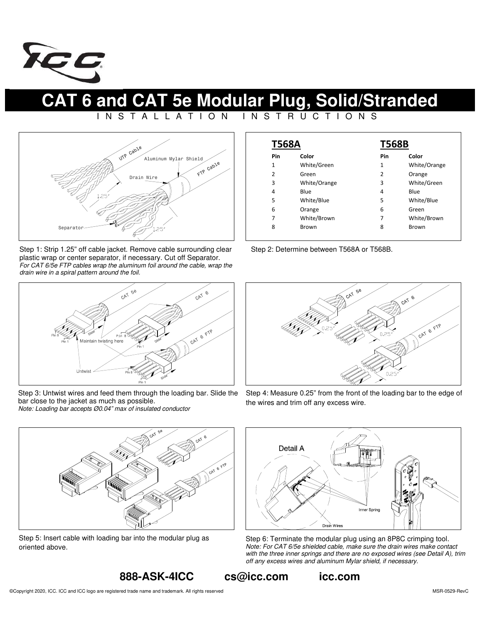

**CAT 6 and CAT 5e Modular Plug, Solid/Stranded** 

## I N S T A L L A T I O N I N S T R U C T I O N S



Step 1: Strip 1.25" off cable jacket. Remove cable surrounding clear plastic wrap or center separator, if necessary. Cut off Separator. *For CAT 6/5e FTP cables wrap the aluminum foil around the cable, wrap the drain wire in a spiral pattern around the foil.* 



Step 3: Untwist wires and feed them through the loading bar. Slide the bar close to the jacket as much as possible. *Note: Loading bar accepts Ø0.04" max of insulated conductor* 

| <b>T568A</b> |              | <b>T568B</b> |              |
|--------------|--------------|--------------|--------------|
| Pin          | Color        | Pin          | Color        |
| 1            | White/Green  | 1            | White/Orange |
| 2            | Green        | 2            | Orange       |
| 3            | White/Orange | 3            | White/Green  |
| 4            | Blue         | 4            | Blue         |
| 5            | White/Blue   | 5            | White/Blue   |
| 6            | Orange       | 6            | Green        |
| 7            | White/Brown  | 7            | White/Brown  |
| 8            | <b>Brown</b> | 8            | <b>Brown</b> |

Step 2: Determine between T568A or T568B.



Step 4: Measure 0.25" from the front of the loading bar to the edge of the wires and trim off any excess wire.



Step 5: Insert cable with loading bar into the modular plug as oriented above.



Step 6: Terminate the modular plug using an 8P8C crimping tool. *Note: For CAT 6/5e shielded cable, make sure the drain wires make contact with the three inner springs and there are no exposed wires (see Detail A), trim off any excess wires and aluminum Mylar shield, if necessary.*

## **888-ASK-4ICC cs@icc.com icc.com**